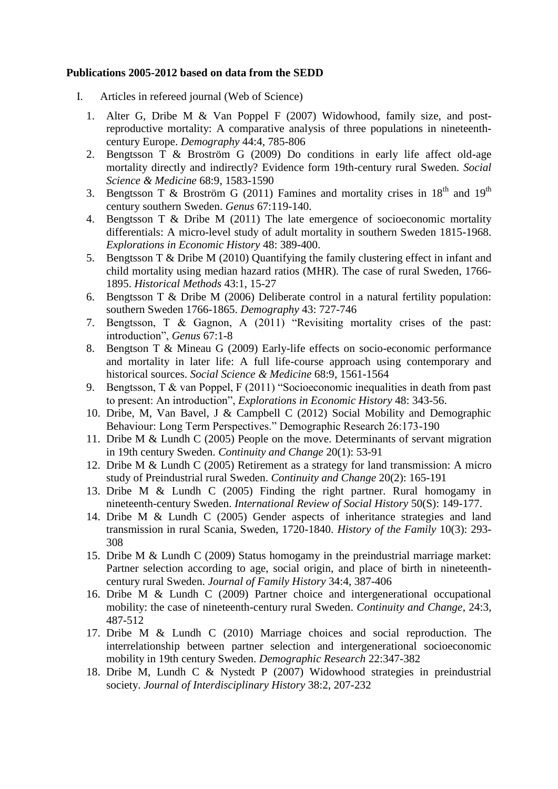## **Publications 2005-2012 based on data from the SEDD**

- I. Articles in refereed journal (Web of Science)
	- 1. Alter G, Dribe M & Van Poppel F (2007) Widowhood, family size, and postreproductive mortality: A comparative analysis of three populations in nineteenthcentury Europe. *Demography* 44:4, 785-806
	- 2. Bengtsson T & Broström G (2009) Do conditions in early life affect old-age mortality directly and indirectly? Evidence form 19th-century rural Sweden. *Social Science & Medicine* 68:9, 1583-1590
	- 3. Bengtsson T & Broström G (2011) Famines and mortality crises in  $18<sup>th</sup>$  and  $19<sup>th</sup>$ century southern Sweden. *Genus* 67:119-140.
	- 4. Bengtsson T & Dribe M (2011) The late emergence of socioeconomic mortality differentials: A micro-level study of adult mortality in southern Sweden 1815-1968. *Explorations in Economic History* 48: 389-400.
	- 5. Bengtsson T & Dribe M (2010) Quantifying the family clustering effect in infant and child mortality using median hazard ratios (MHR). The case of rural Sweden, 1766- 1895. *Historical Methods* 43:1, 15-27
	- 6. Bengtsson T & Dribe M (2006) Deliberate control in a natural fertility population: southern Sweden 1766-1865. *Demography* 43: 727-746
	- 7. Bengtsson, T & Gagnon, A (2011) "Revisiting mortality crises of the past: introduction", *Genus* 67:1-8
	- 8. Bengtson T & Mineau G (2009) Early-life effects on socio-economic performance and mortality in later life: A full life-course approach using contemporary and historical sources. *Social Science & Medicine* 68:9, 1561-1564
	- 9. Bengtsson, T & van Poppel, F (2011) "Socioeconomic inequalities in death from past to present: An introduction", *Explorations in Economic History* 48: 343-56.
	- 10. Dribe, M, Van Bavel, J & Campbell C (2012) Social Mobility and Demographic Behaviour: Long Term Perspectives." Demographic Research 26:173-190
	- 11. Dribe M & Lundh C (2005) People on the move. Determinants of servant migration in 19th century Sweden. *Continuity and Change* 20(1): 53-91
	- 12. Dribe M & Lundh C (2005) Retirement as a strategy for land transmission: A micro study of Preindustrial rural Sweden. *Continuity and Change* 20(2): 165-191
	- 13. Dribe M & Lundh C (2005) Finding the right partner. Rural homogamy in nineteenth-century Sweden. *International Review of Social History* 50(S): 149-177.
	- 14. Dribe M & Lundh C (2005) Gender aspects of inheritance strategies and land transmission in rural Scania, Sweden, 1720-1840. *History of the Family* 10(3): 293- 308
	- 15. Dribe M & Lundh C (2009) Status homogamy in the preindustrial marriage market: Partner selection according to age, social origin, and place of birth in nineteenthcentury rural Sweden. *Journal of Family History* 34:4, 387-406
	- 16. Dribe M & Lundh C (2009) Partner choice and intergenerational occupational mobility: the case of nineteenth-century rural Sweden. *Continuity and Change*, 24:3, 487-512
	- 17. Dribe M & Lundh C (2010) Marriage choices and social reproduction. The interrelationship between partner selection and intergenerational socioeconomic mobility in 19th century Sweden. *Demographic Research* 22:347-382
	- 18. Dribe M, Lundh C & Nystedt P (2007) Widowhood strategies in preindustrial society. *Journal of Interdisciplinary History* 38:2, 207-232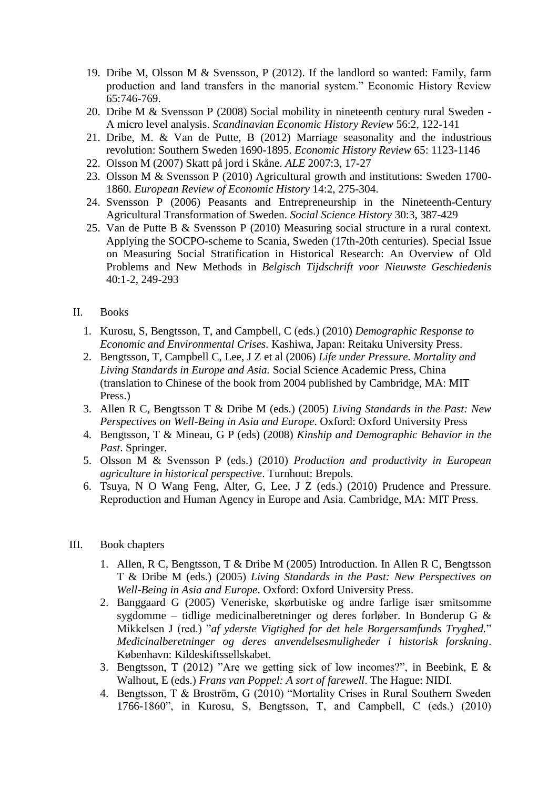- 19. Dribe M, Olsson M & Svensson, P (2012). If the landlord so wanted: Family, farm production and land transfers in the manorial system." Economic History Review 65:746-769.
- 20. Dribe M & Svensson P (2008) Social mobility in nineteenth century rural Sweden A micro level analysis. *Scandinavian Economic History Review* 56:2, 122-141
- 21. Dribe, M. & Van de Putte, B (2012) Marriage seasonality and the industrious revolution: Southern Sweden 1690-1895. *Economic History Review* 65: 1123-1146
- 22. Olsson M (2007) Skatt på jord i Skåne. *ALE* 2007:3, 17-27
- 23. Olsson M & Svensson P (2010) Agricultural growth and institutions: Sweden 1700- 1860. *European Review of Economic History* 14:2, 275-304.
- 24. Svensson P (2006) Peasants and Entrepreneurship in the Nineteenth-Century Agricultural Transformation of Sweden. *Social Science History* 30:3, 387-429
- 25. Van de Putte B & Svensson P (2010) Measuring social structure in a rural context. Applying the SOCPO-scheme to Scania, Sweden (17th-20th centuries). Special Issue on Measuring Social Stratification in Historical Research: An Overview of Old Problems and New Methods in *Belgisch Tijdschrift voor Nieuwste Geschiedenis* 40:1-2, 249-293

## II. Books

- 1. Kurosu, S, Bengtsson, T, and Campbell, C (eds.) (2010) *Demographic Response to Economic and Environmental Crises.* Kashiwa, Japan: Reitaku University Press.
- 2. Bengtsson, T, Campbell C, Lee, J Z et al (2006) *Life under Pressure. Mortality and Living Standards in Europe and Asia.* Social Science Academic Press, China (translation to Chinese of the book from 2004 published by Cambridge, MA: MIT Press.)
- 3. Allen R C, Bengtsson T & Dribe M (eds.) (2005) *Living Standards in the Past: New Perspectives on Well-Being in Asia and Europe*. Oxford: Oxford University Press
- 4. Bengtsson, T & Mineau, G P (eds) (2008) *Kinship and Demographic Behavior in the Past*. Springer.
- 5. Olsson M & Svensson P (eds.) (2010) *Production and productivity in European agriculture in historical perspective*. Turnhout: Brepols.
- 6. Tsuya, N O Wang Feng, Alter, G, Lee, J Z (eds.) (2010) Prudence and Pressure. Reproduction and Human Agency in Europe and Asia. Cambridge, MA: MIT Press.
- III. Book chapters
	- 1. Allen, R C, Bengtsson, T & Dribe M (2005) Introduction. In Allen R C, Bengtsson T & Dribe M (eds.) (2005) *Living Standards in the Past: New Perspectives on Well-Being in Asia and Europe*. Oxford: Oxford University Press.
	- 2. Banggaard G (2005) Veneriske, skørbutiske og andre farlige især smitsomme sygdomme – tidlige medicinalberetninger og deres forløber. In Bonderup G & Mikkelsen J (red.) "*af yderste Vigtighed for det hele Borgersamfunds Tryghed.*" *Medicinalberetninger og deres anvendelsesmuligheder i historisk forskning*. København: Kildeskiftssellskabet.
	- 3. Bengtsson, T (2012) "Are we getting sick of low incomes?", in Beebink, E & Walhout, E (eds.) *Frans van Poppel: A sort of farewell*. The Hague: NIDI.
	- 4. Bengtsson, T & Broström, G (2010) "Mortality Crises in Rural Southern Sweden 1766-1860", in Kurosu, S, Bengtsson, T, and Campbell, C (eds.) (2010)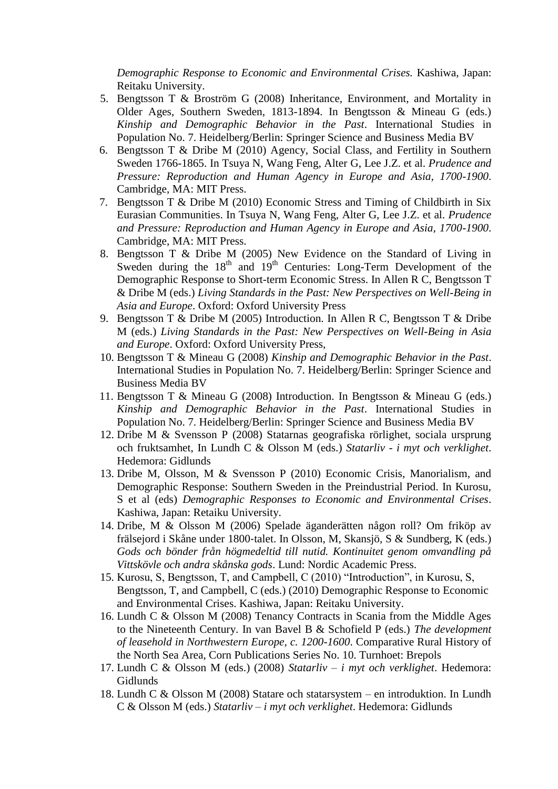*Demographic Response to Economic and Environmental Crises.* Kashiwa, Japan: Reitaku University.

- 5. Bengtsson T & Broström G (2008) Inheritance, Environment, and Mortality in Older Ages, Southern Sweden, 1813-1894. In Bengtsson & Mineau G (eds.) *Kinship and Demographic Behavior in the Past*. International Studies in Population No. 7. Heidelberg/Berlin: Springer Science and Business Media BV
- 6. Bengtsson T & Dribe M (2010) Agency, Social Class, and Fertility in Southern Sweden 1766-1865. In Tsuya N, Wang Feng, Alter G, Lee J.Z. et al. *Prudence and Pressure: Reproduction and Human Agency in Europe and Asia, 1700-1900*. Cambridge, MA: MIT Press.
- 7. Bengtsson T & Dribe M (2010) Economic Stress and Timing of Childbirth in Six Eurasian Communities. In Tsuya N, Wang Feng, Alter G, Lee J.Z. et al. *Prudence and Pressure: Reproduction and Human Agency in Europe and Asia, 1700-1900*. Cambridge, MA: MIT Press.
- 8. Bengtsson T & Dribe M (2005) New Evidence on the Standard of Living in Sweden during the  $18<sup>th</sup>$  and  $19<sup>th</sup>$  Centuries: Long-Term Development of the Demographic Response to Short-term Economic Stress. In Allen R C, Bengtsson T & Dribe M (eds.) *Living Standards in the Past: New Perspectives on Well-Being in Asia and Europe*. Oxford: Oxford University Press
- 9. Bengtsson T & Dribe M (2005) Introduction. In Allen R C, Bengtsson T & Dribe M (eds.) *Living Standards in the Past: New Perspectives on Well-Being in Asia and Europe*. Oxford: Oxford University Press,
- 10. Bengtsson T & Mineau G (2008) *Kinship and Demographic Behavior in the Past*. International Studies in Population No. 7. Heidelberg/Berlin: Springer Science and Business Media BV
- 11. Bengtsson T & Mineau G (2008) Introduction. In Bengtsson & Mineau G (eds.) *Kinship and Demographic Behavior in the Past*. International Studies in Population No. 7. Heidelberg/Berlin: Springer Science and Business Media BV
- 12. Dribe M & Svensson P (2008) Statarnas geografiska rörlighet, sociala ursprung och fruktsamhet, In Lundh C & Olsson M (eds.) *Statarliv - i myt och verklighet*. Hedemora: Gidlunds
- 13. Dribe M, Olsson, M & Svensson P (2010) Economic Crisis, Manorialism, and Demographic Response: Southern Sweden in the Preindustrial Period. In Kurosu, S et al (eds) *Demographic Responses to Economic and Environmental Crises*. Kashiwa, Japan: Retaiku University.
- 14. Dribe, M & Olsson M (2006) Spelade äganderätten någon roll? Om friköp av frälsejord i Skåne under 1800-talet. In Olsson, M, Skansjö, S & Sundberg, K (eds.) *Gods och bönder från högmedeltid till nutid. Kontinuitet genom omvandling på Vittskövle och andra skånska gods*. Lund: Nordic Academic Press.
- 15. Kurosu, S, Bengtsson, T, and Campbell, C (2010) "Introduction", in Kurosu, S, Bengtsson, T, and Campbell, C (eds.) (2010) Demographic Response to Economic and Environmental Crises. Kashiwa, Japan: Reitaku University.
- 16. Lundh C & Olsson M (2008) Tenancy Contracts in Scania from the Middle Ages to the Nineteenth Century. In van Bavel B & Schofield P (eds.) *The development of leasehold in Northwestern Europe, c. 1200-1600*. Comparative Rural History of the North Sea Area, Corn Publications Series No. 10. Turnhoet: Brepols
- 17. Lundh C & Olsson M (eds.) (2008) *Statarliv – i myt och verklighet*. Hedemora: Gidlunds
- 18. Lundh C & Olsson M (2008) Statare och statarsystem en introduktion. In Lundh C & Olsson M (eds.) *Statarliv – i myt och verklighet*. Hedemora: Gidlunds